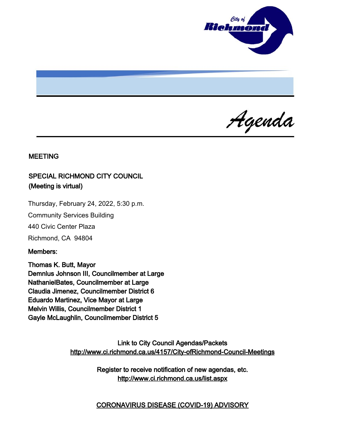

Agenda

#### MEETING

#### SPECIAL RICHMOND CITY COUNCIL (Meeting is virtual)

Thursday, February 24, 2022, 5:30 p.m.

Community Services Building

440 Civic Center Plaza

Richmond, CA 94804

#### Members:

Thomas K. Butt, Mayor Demnlus Johnson III, Councilmember at Large NathanielBates, Councilmember at Large Claudia Jimenez, Councilmember District 6 Eduardo Martinez, Vice Mayor at Large Melvin Willis, Councilmember District 1 Gayle McLaughlin, Councilmember District 5

> Link to City Council Agendas/Packets <http://www.ci.richmond.ca.us/4157/City-ofRichmond-Council-Meetings>

> > Register to receive notification of new agendas, etc. <http://www.ci.richmond.ca.us/list.aspx>

> > CORONAVIRUS DISEASE (COVID-19) ADVISORY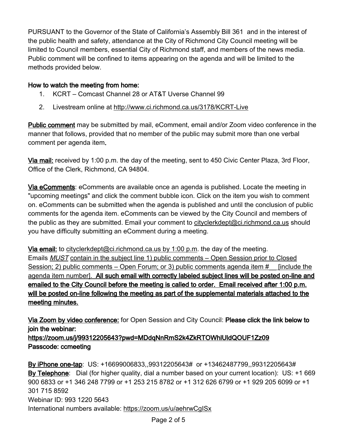PURSUANT to the Governor of the State of California's Assembly Bill 361 and in the interest of the public health and safety, attendance at the City of Richmond City Council meeting will be limited to Council members, essential City of Richmond staff, and members of the news media. Public comment will be confined to items appearing on the agenda and will be limited to the methods provided below.

### How to watch the meeting from home:

- 1. KCRT Comcast Channel 28 or AT&T Uverse Channel 99
- 2. Livestream online at <http://www.ci.richmond.ca.us/3178/KCRT-Live>

Public comment may be submitted by mail, eComment, email and/or Zoom video conference in the manner that follows, provided that no member of the public may submit more than one verbal comment per agenda item.

Via mail: received by 1:00 p.m. the day of the meeting, sent to 450 Civic Center Plaza, 3rd Floor, Office of the Clerk, Richmond, CA 94804.

Via eComments: eComments are available once an agenda is published. Locate the meeting in "upcoming meetings" and click the comment bubble icon. Click on the item you wish to comment on. eComments can be submitted when the agenda is published and until the conclusion of public comments for the agenda item. eComments can be viewed by the City Council and members of the public as they are submitted. Email your comment to [cityclerkdept@ci.richmond.ca.us](mailto:cityclerkdept@ci.richmond.ca.us) should you have difficulty submitting an eComment during a meeting.

Via email: to [cityclerkdept@ci.richmond.ca.us](mailto:cityclerkdept@ci.richmond.ca.us) by 1:00 p.m. the day of the meeting. Emails MUST contain in the subject line 1) public comments – Open Session prior to Closed Session; 2) public comments – Open Forum; or 3) public comments agenda item # [include the agenda item number]. All such email with correctly labeled subject lines will be posted on-line and emailed to the City Council before the meeting is called to order. Email received after 1:00 p.m. will be posted on-line following the meeting as part of the supplemental materials attached to the meeting minutes.

Via Zoom by video conference: for Open Session and City Council: Please click the link below to join the webinar:

#### https://zoom.us/j/99312205643?pwd=MDdqNnRmS2k4ZkRTOWhlUldQOUF1Zz09 Passcode: ccmeeting

By iPhone one-tap: US: +16699006833,,99312205643# or +13462487799,,99312205643# By Telephone: Dial (for higher quality, dial a number based on your current location): US: +1 669 900 6833 or +1 346 248 7799 or +1 253 215 8782 or +1 312 626 6799 or +1 929 205 6099 or +1 301 715 8592 Webinar ID: 993 1220 5643 International numbers available: <https://zoom.us/u/aehrwCgISx>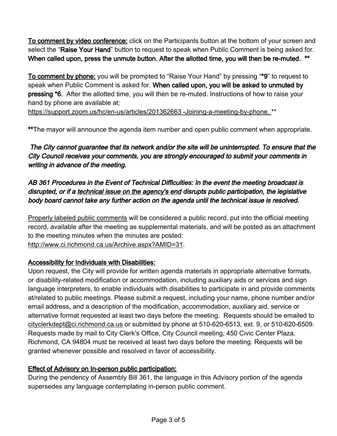To comment by video conference: click on the Participants button at the bottom of your screen and select the "Raise Your Hand" button to request to speak when Public Comment is being asked for. When called upon, press the unmute button. After the allotted time, you will then be re-muted. \*\*

To comment by phone: you will be prompted to "Raise Your Hand" by pressing "\*9" to request to speak when Public Comment is asked for. When called upon, you will be asked to unmuted by pressing \*6. After the allotted time, you will then be re-muted. Instructions of how to raise your hand by phone are available at:

[https://support.zoom.us/hc/en-us/articles/201362663 -Joining-a-meeting-by-phone.](https://support.zoom.us/hc/en-us/articles/201362663%20-Joining-a-meeting-by-phone.) \*\*

\*\*The mayor will announce the agenda item number and open public comment when appropriate.

# The City cannot guarantee that its network and/or the site will be uninterrupted. To ensure that the City Council receives your comments, you are strongly encouraged to submit your comments in writing in advance of the meeting.

## AB 361 Procedures in the Event of Technical Difficulties: In the event the meeting broadcast is disrupted, or if a technical issue on the agency's end disrupts public participation, the legislative body board cannot take any further action on the agenda until the technical issue is resolved.

Properly labeled public comments will be considered a public record, put into the official meeting record, available after the meeting as supplemental materials, and will be posted as an attachment to the meeting minutes when the minutes are posted: [http://www.ci.richmond.ca.us/Archive.aspx?AMID=31.](http://www.ci.richmond.ca.us/Archive.aspx?AMID=31)

### Accessibility for Individuals with Disabilities:

Upon request, the City will provide for written agenda materials in appropriate alternative formats, or disability-related modification or accommodation, including auxiliary aids or services and sign language interpreters, to enable individuals with disabilities to participate in and provide comments at/related to public meetings. Please submit a request, including your name, phone number and/or email address, and a description of the modification, accommodation, auxiliary aid, service or alternative format requested at least two days before the meeting. Requests should be emailed to [cityclerkdept@ci.richmond.ca.us](mailto:cityclerkdept@ci.richmond.ca.us) or submitted by phone at 510-620-6513, ext. 9, or 510-620-6509. Requests made by mail to City Clerk's Office, City Council meeting, 450 Civic Center Plaza, Richmond, CA 94804 must be received at least two days before the meeting. Requests will be granted whenever possible and resolved in favor of accessibility.

### Effect of Advisory on In-person public participation:

During the pendency of Assembly Bill 361, the language in this Advisory portion of the agenda supersedes any language contemplating in-person public comment.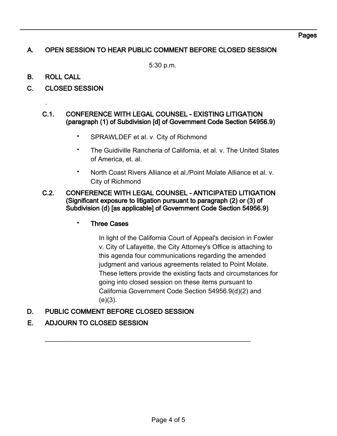# A. OPEN SESSION TO HEAR PUBLIC COMMENT BEFORE CLOSED SESSION

5:30 p.m.

B. ROLL CALL

.

C. CLOSED SESSION

#### C.1. CONFERENCE WITH LEGAL COUNSEL - EXISTING LITIGATION (paragraph (1) of Subdivision [d] of Government Code Section 54956.9)

- SPRAWLDEF et al. v. City of Richmond
- The Guidiville Rancheria of California, et al. v. The United States of America, et. al.
- North Coast Rivers Alliance et al./Point Molate Alliance et al. v. City of Richmond

#### C.2. CONFERENCE WITH LEGAL COUNSEL - ANTICIPATED LITIGATION (Significant exposure to litigation pursuant to paragraph (2) or (3) of Subdivision (d) [as applicable] of Government Code Section 54956.9)

• Three Cases

In light of the California Court of Appeal's decision in Fowler v. City of Lafayette, the City Attorney's Office is attaching to this agenda four communications regarding the amended judgment and various agreements related to Point Molate. These letters provide the existing facts and circumstances for going into closed session on these items pursuant to California Government Code Section 54956.9(d)(2) and  $(e)(3)$ .

# D. PUBLIC COMMENT BEFORE CLOSED SESSION

# E. ADJOURN TO CLOSED SESSION

 $\overline{\phantom{a}}$  , and the contribution of the contribution of the contribution of the contribution of the contribution of the contribution of the contribution of the contribution of the contribution of the contribution of the